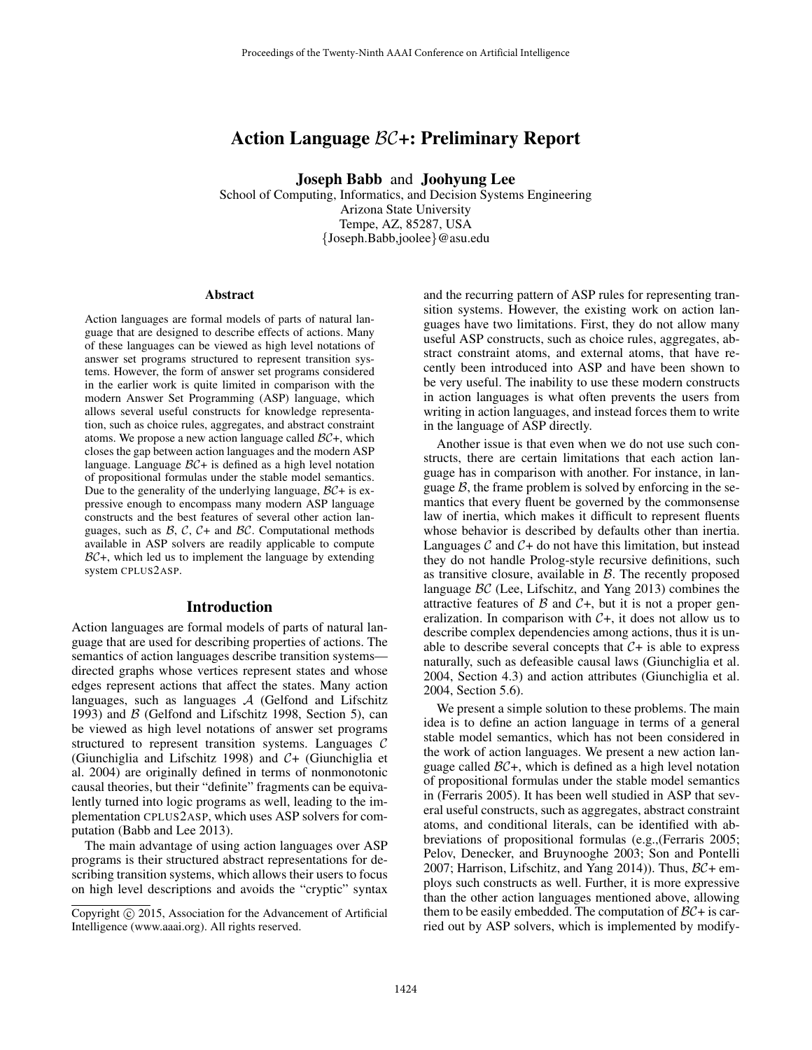# Action Language BC+: Preliminary Report

Joseph Babb and Joohyung Lee

School of Computing, Informatics, and Decision Systems Engineering Arizona State University Tempe, AZ, 85287, USA {Joseph.Babb,joolee}@asu.edu

#### Abstract

Action languages are formal models of parts of natural language that are designed to describe effects of actions. Many of these languages can be viewed as high level notations of answer set programs structured to represent transition systems. However, the form of answer set programs considered in the earlier work is quite limited in comparison with the modern Answer Set Programming (ASP) language, which allows several useful constructs for knowledge representation, such as choice rules, aggregates, and abstract constraint atoms. We propose a new action language called  $BC+$ , which closes the gap between action languages and the modern ASP language. Language  $BC+$  is defined as a high level notation of propositional formulas under the stable model semantics. Due to the generality of the underlying language,  $BC +$  is expressive enough to encompass many modern ASP language constructs and the best features of several other action languages, such as  $\beta$ ,  $\beta$ ,  $\beta$  and  $\beta$ . Computational methods available in ASP solvers are readily applicable to compute  $BC+$ , which led us to implement the language by extending system CPLUS2ASP.

### Introduction

Action languages are formal models of parts of natural language that are used for describing properties of actions. The semantics of action languages describe transition systems directed graphs whose vertices represent states and whose edges represent actions that affect the states. Many action languages, such as languages  $A$  (Gelfond and Lifschitz 1993) and  $\beta$  (Gelfond and Lifschitz 1998, Section 5), can be viewed as high level notations of answer set programs structured to represent transition systems. Languages C (Giunchiglia and Lifschitz 1998) and C+ (Giunchiglia et al. 2004) are originally defined in terms of nonmonotonic causal theories, but their "definite" fragments can be equivalently turned into logic programs as well, leading to the implementation CPLUS2ASP, which uses ASP solvers for computation (Babb and Lee 2013).

The main advantage of using action languages over ASP programs is their structured abstract representations for describing transition systems, which allows their users to focus on high level descriptions and avoids the "cryptic" syntax

and the recurring pattern of ASP rules for representing transition systems. However, the existing work on action languages have two limitations. First, they do not allow many useful ASP constructs, such as choice rules, aggregates, abstract constraint atoms, and external atoms, that have recently been introduced into ASP and have been shown to be very useful. The inability to use these modern constructs in action languages is what often prevents the users from writing in action languages, and instead forces them to write in the language of ASP directly.

Another issue is that even when we do not use such constructs, there are certain limitations that each action language has in comparison with another. For instance, in language  $B$ , the frame problem is solved by enforcing in the semantics that every fluent be governed by the commonsense law of inertia, which makes it difficult to represent fluents whose behavior is described by defaults other than inertia. Languages  $\mathcal C$  and  $\mathcal C$  + do not have this limitation, but instead they do not handle Prolog-style recursive definitions, such as transitive closure, available in  $B$ . The recently proposed language BC (Lee, Lifschitz, and Yang 2013) combines the attractive features of  $\beta$  and  $\beta$ , but it is not a proper generalization. In comparison with  $C+$ , it does not allow us to describe complex dependencies among actions, thus it is unable to describe several concepts that  $C + iS$  able to express naturally, such as defeasible causal laws (Giunchiglia et al. 2004, Section 4.3) and action attributes (Giunchiglia et al. 2004, Section 5.6).

We present a simple solution to these problems. The main idea is to define an action language in terms of a general stable model semantics, which has not been considered in the work of action languages. We present a new action language called  $BC+$ , which is defined as a high level notation of propositional formulas under the stable model semantics in (Ferraris 2005). It has been well studied in ASP that several useful constructs, such as aggregates, abstract constraint atoms, and conditional literals, can be identified with abbreviations of propositional formulas (e.g.,(Ferraris 2005; Pelov, Denecker, and Bruynooghe 2003; Son and Pontelli 2007; Harrison, Lifschitz, and Yang 2014)). Thus,  $\beta\mathcal{C}$ + employs such constructs as well. Further, it is more expressive than the other action languages mentioned above, allowing them to be easily embedded. The computation of  $BC +$  is carried out by ASP solvers, which is implemented by modify-

Copyright (c) 2015, Association for the Advancement of Artificial Intelligence (www.aaai.org). All rights reserved.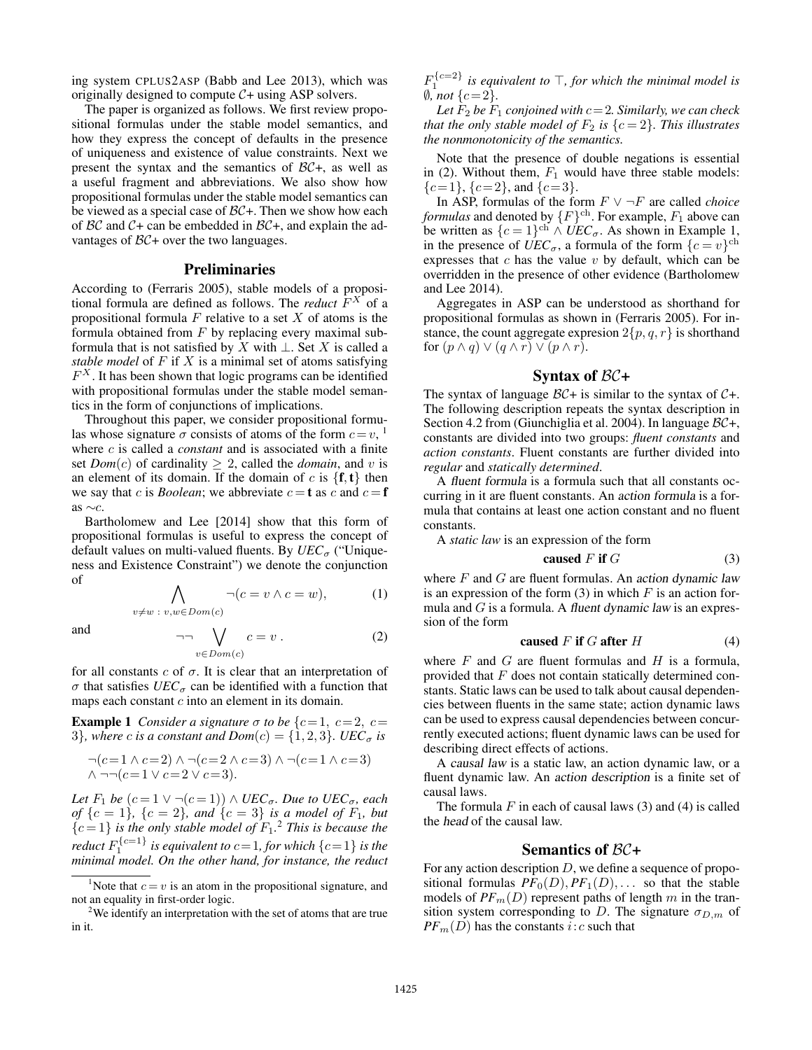ing system CPLUS2ASP (Babb and Lee 2013), which was originally designed to compute  $C+$  using ASP solvers.

The paper is organized as follows. We first review propositional formulas under the stable model semantics, and how they express the concept of defaults in the presence of uniqueness and existence of value constraints. Next we present the syntax and the semantics of  $BC+$ , as well as a useful fragment and abbreviations. We also show how propositional formulas under the stable model semantics can be viewed as a special case of  $BC+$ . Then we show how each of  $BC$  and  $C+$  can be embedded in  $BC+$ , and explain the advantages of  $BC +$  over the two languages.

### Preliminaries

According to (Ferraris 2005), stable models of a propositional formula are defined as follows. The *reduct*  $F^{X}$  of a propositional formula  $F$  relative to a set  $X$  of atoms is the formula obtained from  $F$  by replacing every maximal subformula that is not satisfied by X with  $\bot$ . Set X is called a *stable model* of F if X is a minimal set of atoms satisfying  $F^X$ . It has been shown that logic programs can be identified with propositional formulas under the stable model semantics in the form of conjunctions of implications.

Throughout this paper, we consider propositional formulas whose signature  $\sigma$  consists of atoms of the form  $c=v$ , <sup>1</sup> where c is called a *constant* and is associated with a finite set *Dom*(*c*) of cardinality  $\geq 2$ , called the *domain*, and *v* is an element of its domain. If the domain of c is  $\{f, t\}$  then we say that c is *Boolean*; we abbreviate  $c = t$  as c and  $c = f$ as ∼c.

Bartholomew and Lee [2014] show that this form of propositional formulas is useful to express the concept of default values on multi-valued fluents. By *UEC<sub>σ</sub>* ("Uniqueness and Existence Constraint") we denote the conjunction of

$$
\bigwedge_{v \neq w \; : \; v, w \in Dom(c)} \neg (c = v \land c = w), \tag{1}
$$

and

$$
\neg \neg \bigvee_{v \in Dom(c)} c = v . \tag{2}
$$

for all constants  $c$  of  $\sigma$ . It is clear that an interpretation of  $\sigma$  that satisfies  $UEC_{\sigma}$  can be identified with a function that maps each constant  $c$  into an element in its domain.

**Example 1** *Consider a signature*  $\sigma$  *to be* { $c=1, c=2, c=$ 3<sup>}</sup>, where c is a constant and  $Dom(c) = \{1, 2, 3\}$ . UEC<sub> $\sigma$ </sub> is

$$
\neg(c=1 \land c=2) \land \neg(c=2 \land c=3) \land \neg(c=1 \land c=3)
$$
  

$$
\land \neg \neg(c=1 \lor c=2 \lor c=3).
$$

*Let*  $F_1$  *be*  $(c = 1 \lor \neg(c = 1)) \land UEC_{\sigma}$ *. Due to*  $UEC_{\sigma}$ *, each of*  $\{c = 1\}$ ,  $\{c = 2\}$ , and  $\{c = 3\}$  *is a model of*  $F_1$ *, but*  ${c=1}$  *is the only stable model of*  $F_1$ <sup>2</sup>. This is because the *reduct*  $F_1^{\{c=1\}}$  *is equivalent to*  $c$  = 1*, for which*  $\{c$  = 1 $\}$  *is the minimal model. On the other hand, for instance, the reduct*  $F_1^{\{c=2\}}$  is equivalent to  $\top$ , for which the minimal model is  $\emptyset$ *, not*  $\{c=2\}$ *.* 

Let  $\tilde{F}_2$  be  $\tilde{F}_1$  conjoined with  $c=2$ . Similarly, we can check *that the only stable model of*  $F_2$  *is*  $\{c = 2\}$ *. This illustrates the nonmonotonicity of the semantics.*

Note that the presence of double negations is essential in (2). Without them,  $F_1$  would have three stable models:  ${c=1}, {c=2}, \text{and } {c=3}.$ 

In ASP, formulas of the form F ∨ ¬F are called *choice formulas* and denoted by  $\{F\}^{\text{ch}}$ . For example,  $F_1$  above can be written as  $\{c=1\}^{\text{ch}} \wedge \text{UEC}_{\sigma}$ . As shown in Example 1, in the presence of  $\hat{UEC}_{\sigma}$ , a formula of the form  $\{c = v\}^{\text{ch}}$ expresses that  $c$  has the value  $v$  by default, which can be overridden in the presence of other evidence (Bartholomew and Lee 2014).

Aggregates in ASP can be understood as shorthand for propositional formulas as shown in (Ferraris 2005). For instance, the count aggregate expression  $2\{p, q, r\}$  is shorthand for  $(p \wedge q) \vee (q \wedge r) \vee (p \wedge r)$ .

# Syntax of  $BC +$

The syntax of language  $BC +$  is similar to the syntax of  $C +$ . The following description repeats the syntax description in Section 4.2 from (Giunchiglia et al. 2004). In language BC+, constants are divided into two groups: *fluent constants* and *action constants*. Fluent constants are further divided into *regular* and *statically determined*.

A fluent formula is a formula such that all constants occurring in it are fluent constants. An action formula is a formula that contains at least one action constant and no fluent constants.

A *static law* is an expression of the form

caused 
$$
F
$$
 if  $G$  (3)

where  $F$  and  $G$  are fluent formulas. An action dynamic law is an expression of the form  $(3)$  in which F is an action formula and  $G$  is a formula. A fluent dynamic law is an expression of the form

caused 
$$
F
$$
 if  $G$  after  $H$  (4)

where  $F$  and  $G$  are fluent formulas and  $H$  is a formula, provided that F does not contain statically determined constants. Static laws can be used to talk about causal dependencies between fluents in the same state; action dynamic laws can be used to express causal dependencies between concurrently executed actions; fluent dynamic laws can be used for describing direct effects of actions.

A causal law is a static law, an action dynamic law, or a fluent dynamic law. An action description is a finite set of causal laws.

The formula  $F$  in each of causal laws (3) and (4) is called the head of the causal law.

#### Semantics of  $BC+$

For any action description  $D$ , we define a sequence of propositional formulas  $PF_0(D), PF_1(D), \ldots$  so that the stable models of  $PF_m(D)$  represent paths of length m in the transition system corresponding to D. The signature  $\sigma_{D,m}$  of  $PF_m(D)$  has the constants *i*: *c* such that

<sup>&</sup>lt;sup>1</sup>Note that  $c = v$  is an atom in the propositional signature, and not an equality in first-order logic.

<sup>&</sup>lt;sup>2</sup>We identify an interpretation with the set of atoms that are true in it.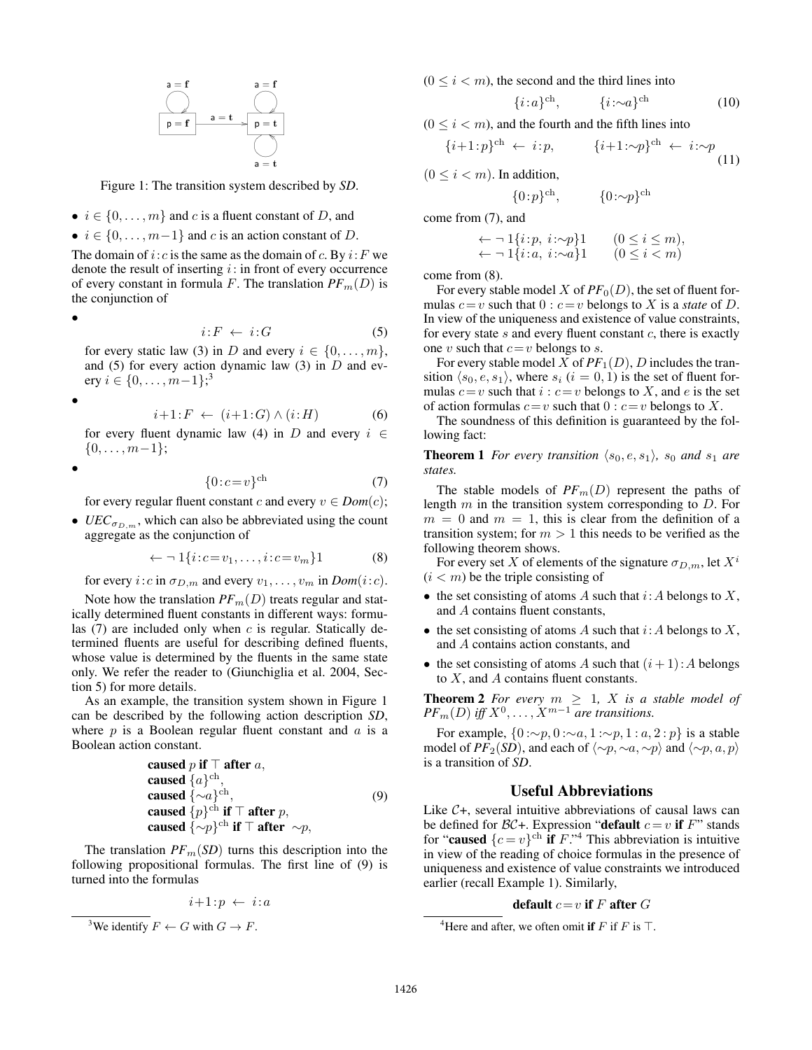

Figure 1: The transition system described by *SD*.

- $i \in \{0, \ldots, m\}$  and c is a fluent constant of D, and
- $i \in \{0, \ldots, m-1\}$  and c is an action constant of D.

The domain of i: c is the same as the domain of c. By  $i: F$  we denote the result of inserting  $i$ : in front of every occurrence of every constant in formula F. The translation  $PF_m(D)$  is the conjunction of

•

$$
i: F \leftarrow i: G \tag{5}
$$

for every static law (3) in D and every  $i \in \{0, \ldots, m\},$ and (5) for every action dynamic law (3) in  $D$  and every  $i \in \{0, \ldots, m-1\}$ <sup>3</sup>

•

$$
i+1: F \leftarrow (i+1:G) \land (i:H) \tag{6}
$$

for every fluent dynamic law (4) in D and every  $i \in$  $\{0, \ldots, m-1\};$ 

•

$$
\{0:c=v\}^{\text{ch}}\tag{7}
$$

for every regular fluent constant c and every  $v \in Dom(c)$ ;

•  $UEC_{\sigma_{D,m}}$ , which can also be abbreviated using the count aggregate as the conjunction of

$$
\leftarrow \neg 1\{i:c = v_1,\ldots,i:c = v_m\}1\tag{8}
$$

for every *i*: *c* in  $\sigma_{D,m}$  and every  $v_1, \ldots, v_m$  in  $Dom(i:c)$ .

Note how the translation  $PF_m(D)$  treats regular and statically determined fluent constants in different ways: formulas  $(7)$  are included only when c is regular. Statically determined fluents are useful for describing defined fluents, whose value is determined by the fluents in the same state only. We refer the reader to (Giunchiglia et al. 2004, Section 5) for more details.

As an example, the transition system shown in Figure 1 can be described by the following action description *SD*, where  $p$  is a Boolean regular fluent constant and  $q$  is a Boolean action constant.

caused 
$$
p
$$
 if  $\top$  after  $a$ ,  
caused  $\{a\}^{\text{ch}}$ ,  
caused  $\{\sim a\}^{\text{ch}}$ ,  
caused  $\{p\}^{\text{ch}}$  if  $\top$  after  $p$ ,  
caused  $\{\sim p\}^{\text{ch}}$  if  $\top$  after  $\sim p$ ,

The translation  $PF_m(SD)$  turns this description into the following propositional formulas. The first line of (9) is turned into the formulas

$$
i+1:p \leftarrow i:a
$$

```
<sup>3</sup>We identify F \leftarrow G with G \rightarrow F.
```
 $(0 \le i < m)$ , the second and the third lines into

$$
\{i \colon a\}^{\text{ch}}, \qquad \{i \colon \sim a\}^{\text{ch}} \tag{10}
$$

 $(0 \le i < m)$ , and the fourth and the fifth lines into

$$
\{i+1:p\}^{\text{ch}} \leftarrow i:p, \qquad \{i+1:\sim p\}^{\text{ch}} \leftarrow i:\sim p
$$
\n(11)

 $(0 \leq i < m)$ . In addition,

$$
\{0:p\}^{\text{ch}}, \qquad \quad \{0:\sim p\}^{\text{ch}}
$$

come from (7), and

$$
\leftarrow \neg 1\{i : p, i : \neg p\}1 \qquad (0 \le i \le m),
$$
  

$$
\leftarrow \neg 1\{i : a, i : \neg a\}1 \qquad (0 \le i < m)
$$

come from (8).

For every stable model X of  $PF_0(D)$ , the set of fluent formulas  $c = v$  such that  $0 : c = v$  belongs to X is a *state* of D. In view of the uniqueness and existence of value constraints, for every state  $s$  and every fluent constant  $c$ , there is exactly one v such that  $c=v$  belongs to s.

For every stable model X of  $PF_1(D)$ , D includes the transition  $\langle s_0, e, s_1 \rangle$ , where  $s_i$   $(i = 0, 1)$  is the set of fluent formulas  $c = v$  such that  $i : c = v$  belongs to X, and e is the set of action formulas  $c=v$  such that  $0 : c=v$  belongs to X.

The soundness of this definition is guaranteed by the following fact:

**Theorem 1** *For every transition*  $\langle s_0, e, s_1 \rangle$ *,*  $s_0$  *and*  $s_1$  *are states.*

The stable models of  $PF_m(D)$  represent the paths of length  $m$  in the transition system corresponding to  $D$ . For  $m = 0$  and  $m = 1$ , this is clear from the definition of a transition system; for  $m > 1$  this needs to be verified as the following theorem shows.

For every set X of elements of the signature  $\sigma_{D,m}$ , let  $X^i$  $(i < m)$  be the triple consisting of

- the set consisting of atoms A such that  $i:A$  belongs to  $X$ , and A contains fluent constants,
- the set consisting of atoms A such that  $i:A$  belongs to X, and A contains action constants, and
- the set consisting of atoms A such that  $(i+1)$ : A belongs to X, and A contains fluent constants.

**Theorem 2** For every  $m \geq 1$ , X is a stable model of  $PF_m(D)$  *iff*  $X^0, \ldots, X^{m-1}$  *are transitions.* 

For example,  $\{0 : \sim p, 0 : \sim a, 1 : \sim p, 1 : a, 2 : p\}$  is a stable model of *PF*<sub>2</sub>(*SD*), and each of  $\langle \sim p, \sim a, \sim p \rangle$  and  $\langle \sim p, a, p \rangle$ is a transition of *SD*.

### Useful Abbreviations

Like  $C+$ , several intuitive abbreviations of causal laws can be defined for  $\mathcal{BC}+$ . Expression "default  $c = v$  if  $F$ " stands for "caused  $\{c = v\}^{\text{ch}}$  if  $F$ ."<sup>4</sup> This abbreviation is intuitive in view of the reading of choice formulas in the presence of uniqueness and existence of value constraints we introduced earlier (recall Example 1). Similarly,

### default  $c=v$  if F after  $G$

<sup>&</sup>lt;sup>4</sup>Here and after, we often omit if F if F is  $\top$ .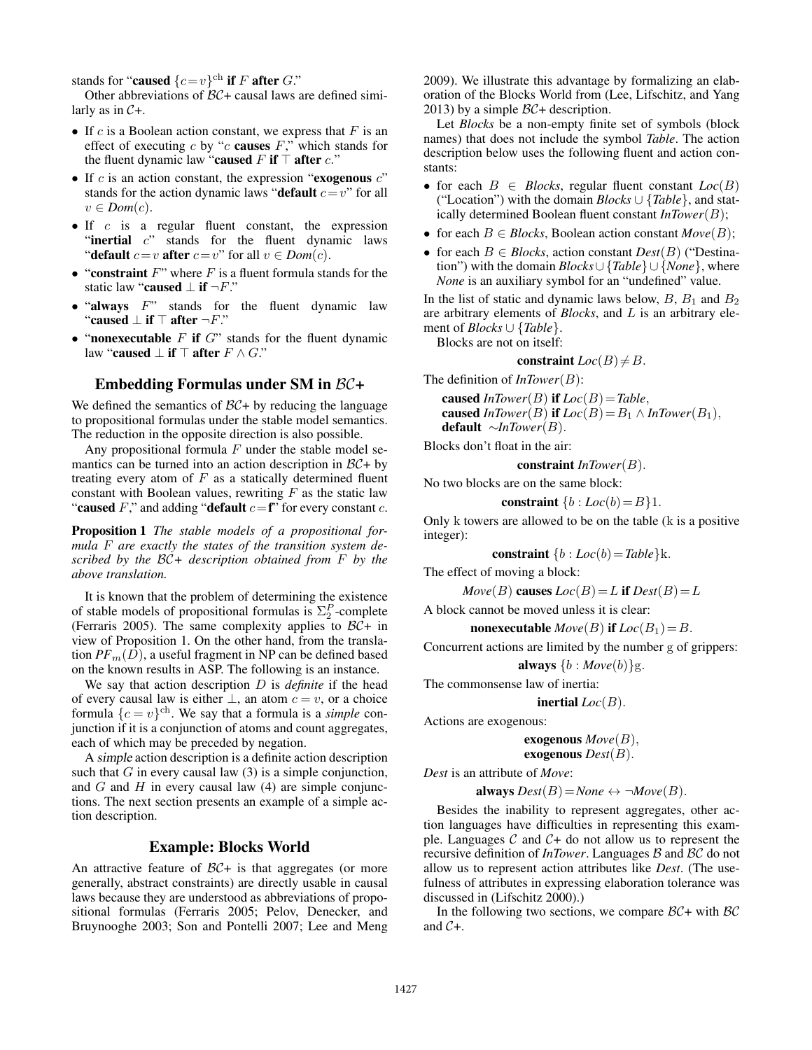stands for "caused  $\{c=v\}^{\text{ch}}$  if F after G."

Other abbreviations of  $BC +$  causal laws are defined similarly as in  $C+$ .

- If  $c$  is a Boolean action constant, we express that  $F$  is an effect of executing  $c$  by " $c$  causes  $F$ ," which stands for the fluent dynamic law "caused F if  $\top$  after c."
- If  $c$  is an action constant, the expression "exogenous  $c$ " stands for the action dynamic laws "default  $c=v$ " for all  $v \in Dom(c)$ .
- If  $c$  is a regular fluent constant, the expression "inertial  $c$ " stands for the fluent dynamic laws "default  $c=v$  after  $c=v$ " for all  $v \in Dom(c)$ .
- "constraint  $F$ " where  $F$  is a fluent formula stands for the static law "caused  $\perp$  if  $\neg F$ ."
- "always  $F$ " stands for the fluent dynamic law "caused  $\perp$  if  $\top$  after  $\neg F$ ."
- "nonexecutable  $F$  if  $G$ " stands for the fluent dynamic law "caused  $\perp$  if  $\top$  after  $F \wedge G$ ."

### Embedding Formulas under SM in BC+

We defined the semantics of  $BC + by$  reducing the language to propositional formulas under the stable model semantics. The reduction in the opposite direction is also possible.

Any propositional formula  $F$  under the stable model semantics can be turned into an action description in  $\mathcal{BC}$ + by treating every atom of  $F$  as a statically determined fluent constant with Boolean values, rewriting  $F$  as the static law "caused F," and adding "default  $c = f$ " for every constant c.

Proposition 1 *The stable models of a propositional formula* F *are exactly the states of the transition system described by the* BC*+ description obtained from* F *by the above translation.*

It is known that the problem of determining the existence of stable models of propositional formulas is  $\Sigma_2^P$ -complete (Ferraris 2005). The same complexity applies to  $\beta \mathcal{C}$ + in view of Proposition 1. On the other hand, from the translation  $PF_m(D)$ , a useful fragment in NP can be defined based on the known results in ASP. The following is an instance.

We say that action description D is *definite* if the head of every causal law is either  $\bot$ , an atom  $c = v$ , or a choice formula  $\{c = v\}^{\text{ch}}$ . We say that a formula is a *simple* conjunction if it is a conjunction of atoms and count aggregates, each of which may be preceded by negation.

A simple action description is a definite action description such that  $G$  in every causal law  $(3)$  is a simple conjunction, and  $G$  and  $H$  in every causal law (4) are simple conjunctions. The next section presents an example of a simple action description.

### Example: Blocks World

An attractive feature of  $BC +$  is that aggregates (or more generally, abstract constraints) are directly usable in causal laws because they are understood as abbreviations of propositional formulas (Ferraris 2005; Pelov, Denecker, and Bruynooghe 2003; Son and Pontelli 2007; Lee and Meng

2009). We illustrate this advantage by formalizing an elaboration of the Blocks World from (Lee, Lifschitz, and Yang 2013) by a simple  $BC +$  description.

Let *Blocks* be a non-empty finite set of symbols (block names) that does not include the symbol *Table*. The action description below uses the following fluent and action constants:

- for each  $B \in \text{Blocks}$ , regular fluent constant  $Loc(B)$ ("Location") with the domain *Blocks* ∪ {*Table*}, and statically determined Boolean fluent constant *InTower*(B);
- for each  $B \in \mathit{Blocks}$ , Boolean action constant  $\mathit{Move}(B)$ ;
- for each B ∈ *Blocks*, action constant *Dest*(B) ("Destination") with the domain *Blocks*∪ {*Table*}∪ {*None*}, where *None* is an auxiliary symbol for an "undefined" value.

In the list of static and dynamic laws below,  $B$ ,  $B_1$  and  $B_2$ are arbitrary elements of *Blocks*, and L is an arbitrary element of *Blocks* ∪ {*Table*}.

Blocks are not on itself:

$$
constraint Loc(B) \neq B.
$$

The definition of *InTower*(B):

caused  $In Tower(B)$  if  $Loc(B) = Table$ , caused *InTower*(*B*) if  $Loc(B) = B_1 \wedge In Tower(B_1)$ , default ∼*InTower*(B).

Blocks don't float in the air:

constraint *InTower*(B).

No two blocks are on the same block:

constraint  $\{b : Loc(b) = B\}1$ .

Only k towers are allowed to be on the table (k is a positive integer):

constraint  ${b : Loc(b) = Table}$ k.

The effect of moving a block:

$$
Move(B) \text{ causes } Loc(B) = L \text{ if } Dest(B) = L
$$

A block cannot be moved unless it is clear:

**nonexecutable**  $Move(B)$  **if**  $Loc(B_1) = B$ .

Concurrent actions are limited by the number g of grippers:

always  $\{b : Move(b)\}$ g.

The commonsense law of inertia:

**inertial**  $Loc(B)$ .

Actions are exogenous:

**exogenous** 
$$
Move(B)
$$
,  
**exogenous**  $Dest(B)$ .

*Dest* is an attribute of *Move*:

always  $Dest(B)=None \leftrightarrow \neg Move(B)$ .

Besides the inability to represent aggregates, other action languages have difficulties in representing this example. Languages  $C$  and  $C+$  do not allow us to represent the recursive definition of *InTower*. Languages B and BC do not allow us to represent action attributes like *Dest*. (The usefulness of attributes in expressing elaboration tolerance was discussed in (Lifschitz 2000).)

In the following two sections, we compare  $BC +$  with  $BC$ and C+.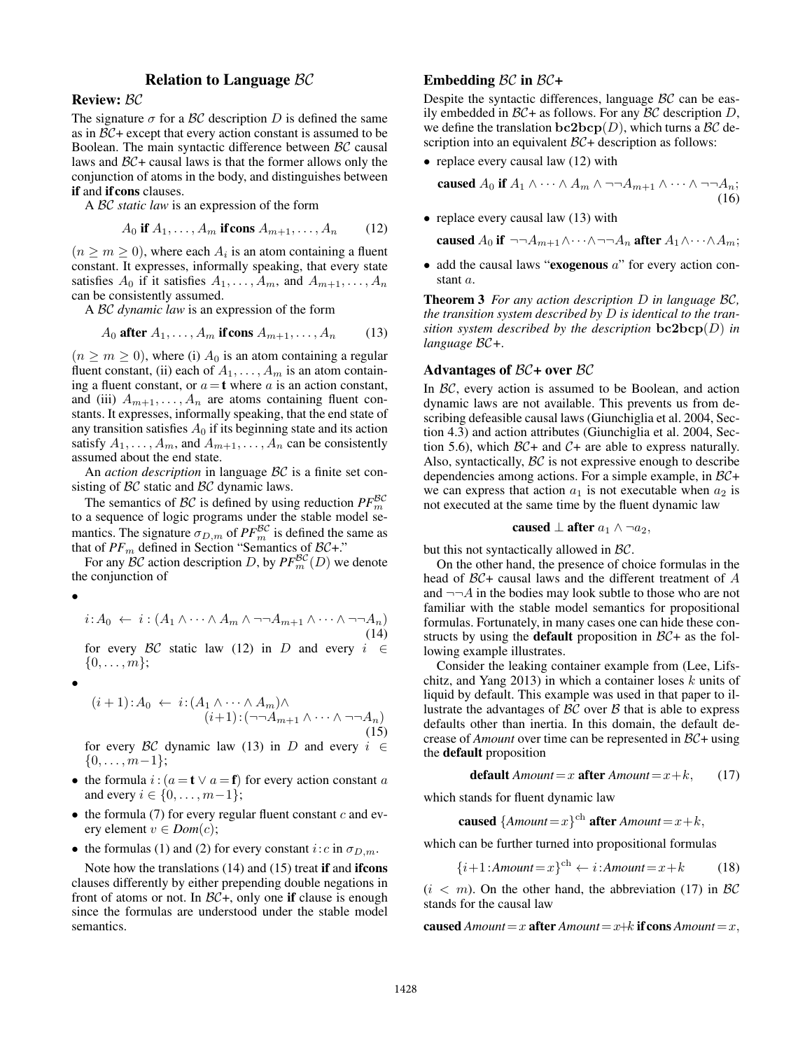# Relation to Language BC

Review: BC

The signature  $\sigma$  for a BC description D is defined the same as in  $BC +$  except that every action constant is assumed to be Boolean. The main syntactic difference between BC causal laws and  $BC +$  causal laws is that the former allows only the conjunction of atoms in the body, and distinguishes between if and if cons clauses.

A BC *static law* is an expression of the form

$$
A_0 \text{ if } A_1, \dots, A_m \text{ if cons } A_{m+1}, \dots, A_n \qquad (12)
$$

 $(n \ge m \ge 0)$ , where each  $A_i$  is an atom containing a fluent constant. It expresses, informally speaking, that every state satisfies  $A_0$  if it satisfies  $A_1, \ldots, A_m$ , and  $A_{m+1}, \ldots, A_n$ can be consistently assumed.

A BC *dynamic law* is an expression of the form

$$
A_0 \text{ after } A_1, \dots, A_m \text{ if cons } A_{m+1}, \dots, A_n \qquad (13)
$$

 $(n \ge m \ge 0)$ , where (i)  $A_0$  is an atom containing a regular fluent constant, (ii) each of  $A_1, \ldots, A_m$  is an atom containing a fluent constant, or  $a = t$  where a is an action constant, and (iii)  $A_{m+1}, \ldots, A_n$  are atoms containing fluent constants. It expresses, informally speaking, that the end state of any transition satisfies  $A_0$  if its beginning state and its action satisfy  $A_1, \ldots, A_m$ , and  $A_{m+1}, \ldots, A_n$  can be consistently assumed about the end state.

An *action description* in language BC is a finite set consisting of BC static and BC dynamic laws.

The semantics of  $BC$  is defined by using reduction  $PF_m^{BC}$ to a sequence of logic programs under the stable model semantics. The signature  $\sigma_{D,m}$  of  $PF^{\mathcal{BC}}_m$  is defined the same as that of  $PF_m$  defined in Section "Semantics of  $BC+$ ."

For any  $\mathcal{BC}$  action description D, by  $PF_{m}^{\mathcal{BC}}(D)$  we denote the conjunction of

```
•
```
 $i:A_0 \leftarrow i : (A_1 \wedge \cdots \wedge A_m \wedge \neg \neg A_{m+1} \wedge \cdots \wedge \neg \neg A_n)$ (14) for every BC static law (12) in D and every  $i \in$ 

•

 $\{0, \ldots, m\};$ 

$$
(i+1): A_0 \leftarrow i: (A_1 \wedge \cdots \wedge A_m) \wedge (i+1): (\neg \neg A_{m+1} \wedge \cdots \wedge \neg \neg A_n)
$$
(15)

for every BC dynamic law (13) in D and every  $i \in$  $\{0, \ldots, m-1\}$ ;

- the formula  $i : (a = t \lor a = f)$  for every action constant a and every  $i \in \{0, ..., m-1\}$ ;
- $\bullet$  the formula (7) for every regular fluent constant c and every element  $v \in Dom(c)$ ;
- the formulas (1) and (2) for every constant  $i:c$  in  $\sigma_{D,m}$ .

Note how the translations (14) and (15) treat if and ifcons clauses differently by either prepending double negations in front of atoms or not. In  $BC+$ , only one if clause is enough since the formulas are understood under the stable model semantics.

# Embedding  $\beta C$  in  $\beta C +$

Despite the syntactic differences, language BC can be easily embedded in  $BC +$  as follows. For any  $BC$  description D, we define the translation  $bc2bcp(D)$ , which turns a  $\mathcal{BC}$  description into an equivalent  $BC +$  description as follows:

• replace every causal law (12) with

caused  $A_0$  if  $A_1 \wedge \cdots \wedge A_m \wedge \neg \neg A_{m+1} \wedge \cdots \wedge \neg \neg A_n;$ (16)

• replace every causal law (13) with

caused  $A_0$  if  $\neg\neg A_{m+1}\wedge \cdots \wedge \neg\neg A_n$  after  $A_1\wedge \cdots \wedge A_m$ ;

• add the causal laws "exogenous  $a$ " for every action constant a.

Theorem 3 *For any action description* D *in language* BC*, the transition system described by* D *is identical to the transition system described by the description* bc2bcp(D) *in language* BC*+.*

#### Advantages of  $BC +$  over  $BC$

In BC, every action is assumed to be Boolean, and action dynamic laws are not available. This prevents us from describing defeasible causal laws (Giunchiglia et al. 2004, Section 4.3) and action attributes (Giunchiglia et al. 2004, Section 5.6), which  $\beta\mathcal{C}$ + and  $\mathcal{C}$ + are able to express naturally. Also, syntactically,  $\beta \mathcal{C}$  is not expressive enough to describe dependencies among actions. For a simple example, in BC+ we can express that action  $a_1$  is not executable when  $a_2$  is not executed at the same time by the fluent dynamic law

caused 
$$
\perp
$$
 after  $a_1 \wedge \neg a_2$ ,

but this not syntactically allowed in BC.

On the other hand, the presence of choice formulas in the head of BC+ causal laws and the different treatment of A and  $\neg\neg A$  in the bodies may look subtle to those who are not familiar with the stable model semantics for propositional formulas. Fortunately, in many cases one can hide these constructs by using the **default** proposition in  $BC +$  as the following example illustrates.

Consider the leaking container example from (Lee, Lifschitz, and Yang 2013) in which a container loses  $k$  units of liquid by default. This example was used in that paper to illustrate the advantages of  $BC$  over  $B$  that is able to express defaults other than inertia. In this domain, the default decrease of *Amount* over time can be represented in BC+ using the default proposition

$$
default Amount = x after Amount = x + k, \qquad (17)
$$

which stands for fluent dynamic law

caused  ${Amount=x}^{ch}$  after *Amount*=x+k,

which can be further turned into propositional formulas

$$
\{i+1:Amount = x\}^{ch} \leftarrow i:Amount = x + k \tag{18}
$$

 $(i < m)$ . On the other hand, the abbreviation (17) in BC stands for the causal law

caused  $Amount = x$  after  $Amount = x+k$  if cons  $Amount = x$ ,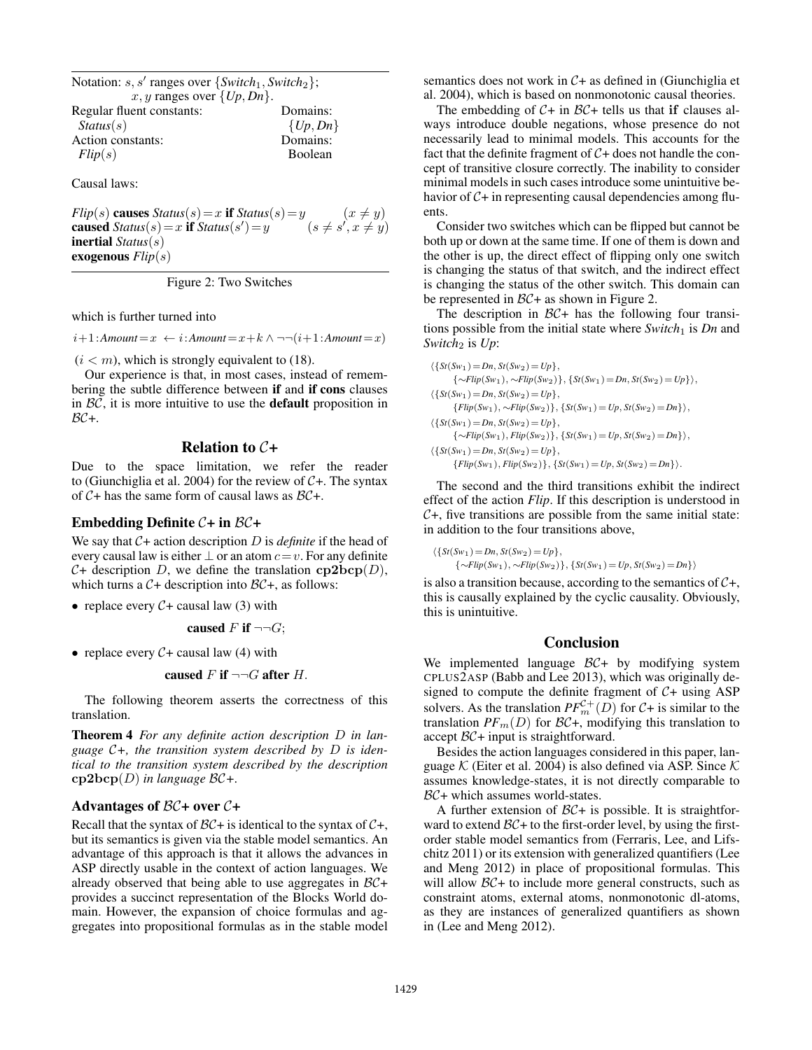Notation: s, s' ranges over {*Switch*<sub>1</sub>, *Switch*<sub>2</sub>};  $x, y$  ranges over  $\{Up, Dn\}.$ Regular fluent constants: Domains: *Status*(s) {*Up*, *Dn*} Action constants: Domains: *Flip*(s) Boolean

Causal laws:

*Flip*(s) causes *Status*(s) = x if *Status*(s) = y (x \ne y) caused  $Status(s) = x$  if  $Status(s')$  $)=y$   $(s \neq s', x \neq y)$ inertial *Status*(s) exogenous *Flip*(s)

Figure 2: Two Switches

which is further turned into

 $i+1:$ *Amount*= $x \leftarrow i:$ *Amount*= $x+k \wedge \neg \neg (i+1:$ *Amount*= $x)$ 

 $(i < m)$ , which is strongly equivalent to (18).

Our experience is that, in most cases, instead of remembering the subtle difference between if and if cons clauses in  $BC$ , it is more intuitive to use the **default** proposition in  $BC +$ .

### **Relation to**  $C+$

Due to the space limitation, we refer the reader to (Giunchiglia et al. 2004) for the review of  $C_{+}$ . The syntax of  $C$ + has the same form of causal laws as  $BC$ +.

#### Embedding Definite  $C+$  in  $BC+$

We say that  $C+$  action description D is *definite* if the head of every causal law is either  $\perp$  or an atom  $c = v$ . For any definite  $C+$  description D, we define the translation  $cp2bcp(D)$ , which turns a  $C+$  description into  $BC+$ , as follows:

• replace every  $C+$  causal law (3) with

caused 
$$
F
$$
 if  $\neg\neg G$ ;

• replace every  $C+$  causal law (4) with

caused F if 
$$
\neg\neg G
$$
 after H.

The following theorem asserts the correctness of this translation.

Theorem 4 *For any definite action description* D *in language* C*+, the transition system described by* D *is identical to the transition system described by the description* cp2bcp(D) *in language* BC*+.*

### Advantages of  $\beta\mathcal{C}$ + over  $\mathcal{C}$ +

Recall that the syntax of  $BC +$  is identical to the syntax of  $C +$ , but its semantics is given via the stable model semantics. An advantage of this approach is that it allows the advances in ASP directly usable in the context of action languages. We already observed that being able to use aggregates in  $BC +$ provides a succinct representation of the Blocks World domain. However, the expansion of choice formulas and aggregates into propositional formulas as in the stable model

semantics does not work in  $C+$  as defined in (Giunchiglia et al. 2004), which is based on nonmonotonic causal theories.

The embedding of  $C+$  in  $BC+$  tells us that if clauses always introduce double negations, whose presence do not necessarily lead to minimal models. This accounts for the fact that the definite fragment of  $C+$  does not handle the concept of transitive closure correctly. The inability to consider minimal models in such cases introduce some unintuitive behavior of  $C+$  in representing causal dependencies among fluents.

Consider two switches which can be flipped but cannot be both up or down at the same time. If one of them is down and the other is up, the direct effect of flipping only one switch is changing the status of that switch, and the indirect effect is changing the status of the other switch. This domain can be represented in  $BC +$  as shown in Figure 2.

The description in  $BC +$  has the following four transitions possible from the initial state where *Switch*<sup>1</sup> is *Dn* and *Switch*<sup>2</sup> is *Up*:

 $\{\{St(Sw_1)=Dn, St(Sw_2)=Up\},\}$ {∼*Flip*(*Sw*1), ∼*Flip*(*Sw*2)}, {*St*(*Sw*1)=*Dn*, *St*(*Sw*2)=*Up*}i,  $\{\{St(Sw_1)=Dn, St(Sw_2)=Up\},\}$  ${Flip(Sw_1), ∼Flip(Sw_2)}$ ,  ${Sf(Sw_1) = Up, St(Sw_2) = Dn}$ ,  $\{\{St(Sw_1)=Dn, St(Sw_2)=Up\},\}$ {∼*Flip*(*Sw*1), *Flip*(*Sw*2)}, {*St*(*Sw*1)=*Up*, *St*(*Sw*2)=*Dn*}i,  $\{\{St(Sw_1)=Dn, St(Sw_2)=Up\},\}$  ${Flip(Sw_1), Fib(Sw_2)}$ ,  ${Sf(Sw_1) = Up, St(Sw_2) = Dn}$ .

The second and the third transitions exhibit the indirect effect of the action *Flip*. If this description is understood in  $C_{+}$ , five transitions are possible from the same initial state: in addition to the four transitions above,

$$
\langle \{St(Sw_1) = Dn, St(Sw_2) = Up\},\
$$
  

$$
\{\sim\t\t\t\tFlip(Sw_1), \sim\t\t\t\t\t\t\tFlip(Sw_2)\}, \{St(Sw_1) = Up, St(Sw_2) = Dn\}\}\
$$

is also a transition because, according to the semantics of  $C_{+}$ , this is causally explained by the cyclic causality. Obviously, this is unintuitive.

#### **Conclusion**

We implemented language  $\beta \mathcal{C}$ + by modifying system CPLUS2ASP (Babb and Lee 2013), which was originally designed to compute the definite fragment of  $C+$  using ASP solvers. As the translation  $PF_m^{\mathcal{C}+}(D)$  for  $\mathcal{C}$ + is similar to the translation  $PF_m(D)$  for  $\mathcal{BC}$ +, modifying this translation to accept BC+ input is straightforward.

Besides the action languages considered in this paper, language  $\mathcal K$  (Eiter et al. 2004) is also defined via ASP. Since  $\mathcal K$ assumes knowledge-states, it is not directly comparable to BC+ which assumes world-states.

A further extension of  $BC +$  is possible. It is straightforward to extend  $BC+$  to the first-order level, by using the firstorder stable model semantics from (Ferraris, Lee, and Lifschitz 2011) or its extension with generalized quantifiers (Lee and Meng 2012) in place of propositional formulas. This will allow  $BC +$  to include more general constructs, such as constraint atoms, external atoms, nonmonotonic dl-atoms, as they are instances of generalized quantifiers as shown in (Lee and Meng 2012).